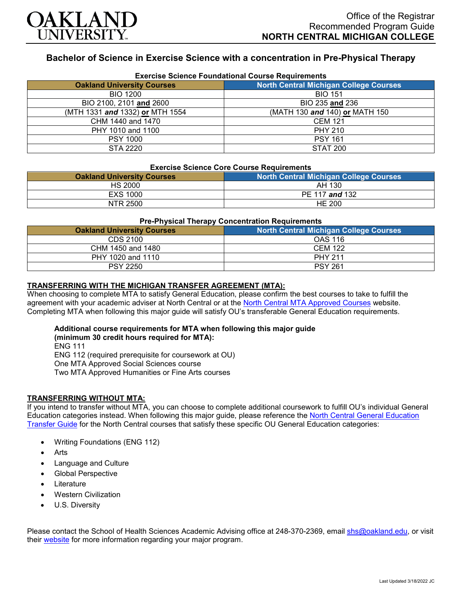

## **Bachelor of Science in Exercise Science with a concentration in Pre-Physical Therapy**

| <b>Exercise Science Foundational Course Requirements</b> |                                               |  |
|----------------------------------------------------------|-----------------------------------------------|--|
| <b>Oakland University Courses</b>                        | <b>North Central Michigan College Courses</b> |  |
| <b>BIO 1200</b>                                          | <b>BIO 151</b>                                |  |
| BIO 2100, 2101 and 2600                                  | BIO 235 and 236                               |  |
| (MTH 1331 and 1332) or MTH 1554                          | (MATH 130 and 140) or MATH 150                |  |
| CHM 1440 and 1470                                        | <b>CEM 121</b>                                |  |
| PHY 1010 and 1100                                        | <b>PHY 210</b>                                |  |
| <b>PSY 1000</b>                                          | <b>PSY 161</b>                                |  |
| STA 2220                                                 | <b>STAT 200</b>                               |  |

# **Exercise Science Core Course Requirements**

| LAGICISE OCIENCE OUTE OUGHSE INCUBITENTIES |                                               |
|--------------------------------------------|-----------------------------------------------|
| <b>Oakland University Courses</b>          | <b>North Central Michigan College Courses</b> |
| <b>HS 2000</b>                             | AH 130                                        |
| EXS 1000                                   | PE 117 and 132                                |
| NTR 2500                                   | <b>HE 200</b>                                 |

#### **Pre-Physical Therapy Concentration Requirements**

| <b>Oakland University Courses</b> | <b>North Central Michigan College Courses</b> |  |
|-----------------------------------|-----------------------------------------------|--|
| CDS 2100                          | OAS 116                                       |  |
| CHM 1450 and 1480                 | <b>CEM 122</b>                                |  |
| PHY 1020 and 1110                 | <b>PHY 211</b>                                |  |
| <b>PSY 2250</b>                   | <b>PSY 261</b>                                |  |

#### **TRANSFERRING WITH THE MICHIGAN TRANSFER AGREEMENT (MTA):**

When choosing to complete MTA to satisfy General Education, please confirm the best courses to take to fulfill the agreement with your academic adviser at North Central or at the [North Central MTA Approved Courses](https://www.ncmich.edu/admissions/transfer-information/michigan-transfer-agreement-mta.html) website. Completing MTA when following this major guide will satisfy OU's transferable General Education requirements.

#### **Additional course requirements for MTA when following this major guide (minimum 30 credit hours required for MTA):**

ENG 111

ENG 112 (required prerequisite for coursework at OU)

One MTA Approved Social Sciences course

Two MTA Approved Humanities or Fine Arts courses

### **TRANSFERRING WITHOUT MTA:**

If you intend to transfer without MTA, you can choose to complete additional coursework to fulfill OU's individual General Education categories instead. When following this major guide, please reference the [North Central General Education](https://www.oakland.edu/Assets/Oakland/program-guides/north-central-michigan-college/university-general-education-requirements/North%20Central%20Michigan%20Gen%20Ed.pdf)  [Transfer Guide](https://www.oakland.edu/Assets/Oakland/program-guides/north-central-michigan-college/university-general-education-requirements/North%20Central%20Michigan%20Gen%20Ed.pdf) for the North Central courses that satisfy these specific OU General Education categories:

- Writing Foundations (ENG 112)
- **Arts**
- Language and Culture
- Global Perspective
- **Literature**
- Western Civilization
- U.S. Diversity

Please contact the School of Health Sciences Academic Advising office at 248-370-2369, email [shs@oakland.edu,](mailto:shs@oakland.edu) or visit their [website](http://www.oakland.edu/shs/advising) for more information regarding your major program.